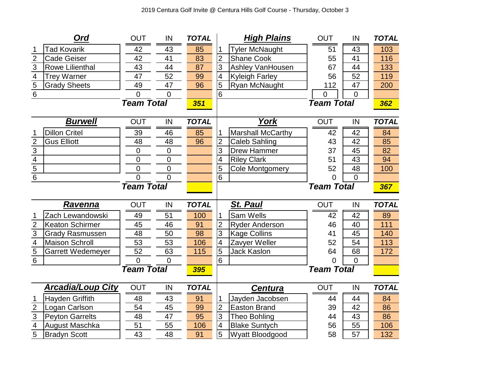|                                           | Ord                                   | <b>OUT</b>        | IN             | <b>TOTAL</b> | <b>High Plains</b>                                | <b>OUT</b>        | IN             | <b>TOTAL</b> |  |
|-------------------------------------------|---------------------------------------|-------------------|----------------|--------------|---------------------------------------------------|-------------------|----------------|--------------|--|
|                                           | <b>Tad Kovarik</b>                    | 42                | 43             | 85           | <b>Tyler McNaught</b>                             | 51                | 43             | 103          |  |
| $\frac{2}{3}$                             | <b>Cade Geiser</b>                    | 42                | 41             | 83           | $\overline{2}$<br><b>Shane Cook</b>               | 55                | 41             | 116          |  |
|                                           | <b>Rowe Lilienthal</b>                | 43                | 44             | 87           | $\overline{3}$<br>Ashley VanHousen                | 67                | 44             | 133          |  |
| $\overline{4}$                            | <b>Trey Warner</b>                    | 47                | 52             | 99           | 4<br><b>Kyleigh Farley</b>                        | 56                | 52             | 119          |  |
| $\frac{5}{6}$                             | <b>Grady Sheets</b>                   | 49                | 47             | 96           | $\overline{5}$<br>Ryan McNaught                   | 112               | 47             | 200          |  |
|                                           |                                       | $\Omega$          | $\overline{0}$ |              | 6                                                 | $\overline{0}$    | $\overline{0}$ | 362          |  |
|                                           | <b>Team Total</b>                     |                   |                | 351          | <b>Team Total</b>                                 |                   |                |              |  |
|                                           | <b>Burwell</b>                        | <b>OUT</b>        | IN             | <b>TOTAL</b> | York                                              | <b>OUT</b>        | IN             | <b>TOTAL</b> |  |
|                                           | <b>Dillon Critel</b>                  | 39                | 46             | 85           | <b>Marshall McCarthy</b><br>1                     | 42                | 42             | 84           |  |
| $\overline{2}$                            | <b>Gus Elliott</b>                    | 48                | 48             | 96           | $\overline{2}$<br><b>Caleb Sahling</b>            | 43                | 42             | 85           |  |
|                                           |                                       | 0                 | $\mathbf 0$    |              | 3<br><b>Drew Hammer</b>                           | 37                | 45             | 82           |  |
| $\frac{3}{4}$ $\frac{4}{5}$ $\frac{5}{6}$ |                                       | $\overline{0}$    | $\overline{0}$ |              | 4<br><b>Riley Clark</b>                           | 51                | 43             | 94           |  |
|                                           |                                       | 0                 | $\mathbf 0$    |              | 5<br><b>Cole Montgomery</b>                       | 52                | 48             | 100          |  |
|                                           |                                       | $\Omega$          | $\overline{0}$ |              | $\overline{6}$                                    | 0                 | $\overline{0}$ |              |  |
|                                           | <b>Team Total</b>                     |                   |                |              | <b>Team Total</b>                                 |                   |                |              |  |
|                                           |                                       |                   |                |              |                                                   |                   |                | 367          |  |
|                                           | <u>Ravenna</u>                        | OUT               | IN             | <b>TOTAL</b> | <b>St. Paul</b>                                   | <b>OUT</b>        | IN             | <b>TOTAL</b> |  |
|                                           | Zach Lewandowski                      | 49                | 51             | 100          | Sam Wells<br>1                                    | 42                | 42             | 89           |  |
| $\overline{2}$                            | <b>Keaton Schirmer</b>                | 45                | 46             | 91           | $\overline{2}$<br>Ryder Anderson                  | 46                | 40             | 111          |  |
|                                           | <b>Grady Rasmussen</b>                | 48                | 50             | 98           | $\overline{3}$<br><b>Kage Collins</b>             | 41                | 45             | 140          |  |
| $\frac{3}{4}$                             | <b>Maison Schroll</b>                 | 53                | 53             | 106          | 4<br>Zavyer Weller                                | 52                | 54             | 113          |  |
| $\overline{5}$                            | <b>Garrett Wedemeyer</b>              | 52                | 63             | 115          | 5<br><b>Jack Kaslon</b>                           | 64                | 68             | 172          |  |
| $\overline{6}$                            |                                       | $\Omega$          | $\Omega$       |              | 6                                                 | 0                 | $\Omega$       |              |  |
|                                           |                                       | <b>Team Total</b> |                | 395          |                                                   | <b>Team Total</b> |                |              |  |
|                                           | <b>Arcadia/Loup City</b>              | <b>OUT</b>        | IN             | <b>TOTAL</b> | <b>Centura</b>                                    | <b>OUT</b>        | IN             | <b>TOTAL</b> |  |
|                                           | Hayden Griffith                       | 48                | 43             | 91           | Jayden Jacobsen<br>1                              | 44                | 44             | 84           |  |
| $\overline{2}$                            | Logan Carlson                         | 54                | 45             | 99           | $\overline{2}$<br><b>Easton Brand</b>             | 39                | 42             | 86           |  |
| $\overline{3}$                            | <b>Peyton Garrelts</b>                | 48                | 47             | 95           | 3<br>Theo Bohling                                 | 44                | 43             | 86           |  |
| $\overline{4}$<br>$\overline{5}$          | August Maschka<br><b>Bradyn Scott</b> | 51<br>43          | 55<br>48       | 106<br>91    | 4<br><b>Blake Suntych</b><br>5<br>Wyatt Bloodgood | 56<br>58          | 55<br>57       | 106<br>132   |  |